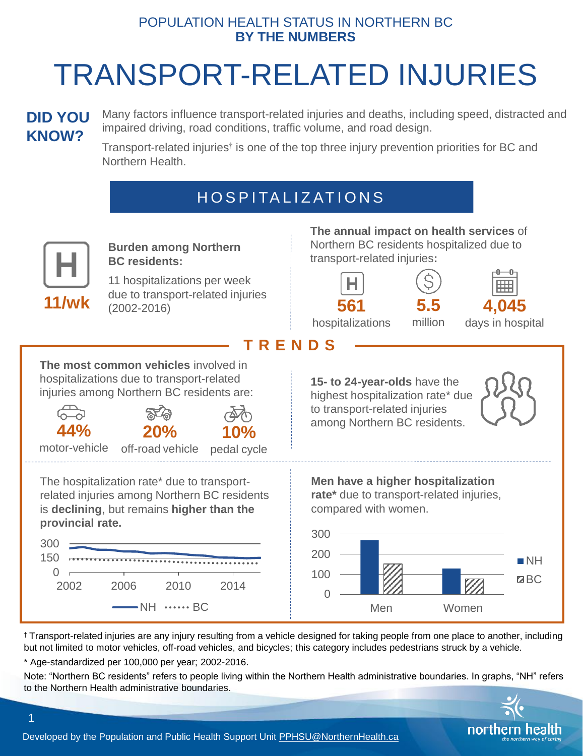#### POPULATION HEALTH STATUS IN NORTHERN BC **BY THE NUMBERS**

# TRANSPORT-RELATED INJURIES

### **DID YOU KNOW?**

Many factors influence transport-related injuries and deaths, including speed, distracted and impaired driving, road conditions, traffic volume, and road design.

Transport-related injuries<sup>†</sup> is one of the top three injury prevention priorities for BC and Northern Health.

## H O S P I TA L I Z AT I O N S



**Burden among Northern BC residents:** 

11 hospitalizations per week due to transport-related injuries **11/wk** (2002-2016) **The annual impact on health services** of Northern BC residents hospitalized due to transport-related injuries**:**





million



hospitalizations

days in hospital

**T R E N D S**

**The most common vehicles** involved in hospitalizations due to transport-related injuries among Northern BC residents are:



1

The hospitalization rate\* due to transportrelated injuries among Northern BC residents is **declining**, but remains **higher than the provincial rate.**



**15- to 24-year-olds** have the highest hospitalization rate\* due to transport-related injuries among Northern BC residents.







† Transport-related injuries are any injury resulting from a vehicle designed for taking people from one place to another, including but not limited to motor vehicles, off-road vehicles, and bicycles; this category includes pedestrians struck by a vehicle.

\* Age-standardized per 100,000 per year; 2002-2016.

Note: "Northern BC residents" refers to people living within the Northern Health administrative boundaries. In graphs, "NH" refers to the Northern Health administrative boundaries.



Developed by the Population and Public Health Support Unit [PPHSU@NorthernHealth.ca](mailto:PPHSU@NorthernHealth.ca)